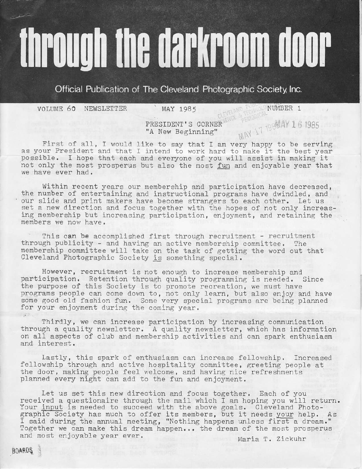# through the darkroom door

Official Publication of The Cleveland Photographic Society, Inc.

VOLUME 60 NEWSLETTER MAY 1985 NIGHT NUMBER 1

PRESIDENT'S CORNER THE 1985 AY 16 19 "A New Beginning"  $M \sim 1$ 

MAY 17 1988AY 16 1985

First of all, I would like to say that I am very happy to be serving as your President and that I intend to work hard to make it the best year possible, I hope that each and everyone of you will assigt in making it not only the most prosperus but also the most fun and enjoyable year that we have ever had.

Within recent years our membership and participation have decreased, the number of entertaining and instructional programs have dwindled, and our slide and print makers have become strangers to each other. Let us set a new direction and focus together with the hopes of not only increasing nembership but increasing participation, enjoyment, and retaining the members we now have.

This can be accomplished first through recruitment - recruitment through publicity - and having an active membership committee. The membership comnittee will take on the task of getting the word out that Cleveland Photographic Society is something special.

However, recruitment is not enough to increase membership and participation. Retention through quality programming is needed. Since the purpose of this Society is to promote recreation, we must have programs people can come down to, not only learn, but also enjoy and have sone qood old fashion fun, Some very special programs are being planned for your enjoyment during the coming year.

Thirdly, we can increase participation by increasing communication through a quality newsletter. A quality newsletter, which has information on all aspects of club and membership activities and can spark enthusiasm and interest,

Lastly, this spark of enthusiasm can increase fellowship. Increased fellowship through and active hospitality committee, greeting people at the door, making people feel welcome, and having nice refreshments planned every night can add to the fun and enjoyment.

Let us set this new direction and focus together. Each of you received a questionaire through the mail which I am hoping you will return. Your input is needed to succeed with the above goals. Cleveland Photographic Society has much to offer its members, but it needs your help. As I said during the annual neeting, "Nothing happens unless first a dream." Together we can make this dream happen... the dream of the most prosperus and most enjoyable year ever. Maria T. Zickuhr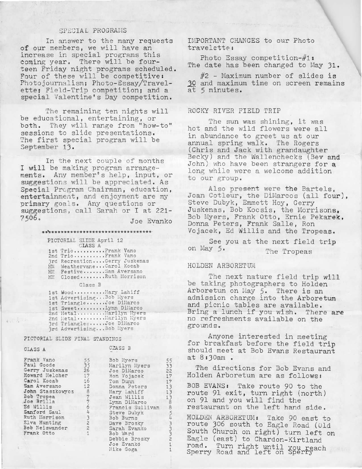# SPECIAL PROGRAMS

In answer to the many requests of our members, we will have an increase in special programs this coming year. There will be fourteen Friday night programs scheduled. Four of these will be competitive: Photojournalism; Photo-Essay/Travelette; Field-Trip competition; and a special Valentine's Day competition.

The remaining ten nights will be educational, entertaining, or both. They will range from "how-to" sessions to slide presentations. The first special program will be September 13.

In the next couple of months I will be making program arrangements. Any member's help, input, or suggestions will be appreciated. As Special Program Chairman, education, entertainment, and enjoyment are my primary goals. Any questions or suggestions, call Sarah or I at 221-7506. Joe Evanko

## \*\*\*\*\*\*\*\*\*\*\*\*\*\*\*\*\*\*\*\*\*\*\*\*\*\*\*\*\*\*\*\*\*\*\*

PICTORIAL SLIDE April 12 CLASS A 1st Trio..........Frank Vano<br>2nd Trio..........Frank Vano 3rd Recreation....Gerry Juskenas<br>HM Weathervane...Carol Kocab<br>HM: Festive.......Sam Aversano

Class B

HM Closed ....... Ruth Morrison

| 1st Wood  Mary Lahiff    |
|--------------------------|
| 1st AdvertisingBob Myers |
| 1st TriangleJoe DiMarco  |
| 1st SweetLynn Dillarco   |
| 2nd MetalMarilyn Myers   |
| 2nd Metal Marilyn Myers  |
| 3rd TrianglesJoe DiMarco |
| 3rd AdvertisingBob Hyers |

#### PICTORIAL SLIDE FINAL STANDINGS

#### CLASS A

 $4.12.1$ 

| Frank Vano       |                |
|------------------|----------------|
|                  | 55<br>35       |
| Paul Goode       |                |
| Gerry Juskenas   | 26             |
| Howard Melcher   | 17             |
| Carol Kocab      | 16             |
| Sam Aversano     | 12             |
| John Staszkowycz | 8              |
| Bob Tropea       |                |
| Joe Brilla       |                |
| Ed Willis        |                |
| Sanford Saul     | 7754322        |
| Ruth Morrison    |                |
| Elva Hunting     |                |
| Bob Neiswander   |                |
| Frank Otto       | $\overline{1}$ |
|                  |                |

CLASS B

| Bob Myers        | 55             |
|------------------|----------------|
| Marilyn Myers    | 33             |
| Joe DiMarco      | 22             |
| Ron Vojacek      | 17             |
| Tom Dunn         | 17             |
| Donna Peters     | 13             |
| Mary Lahiff      | 13             |
| Jean Willis      | $\frac{1}{3}$  |
| Lynn DiMarco     |                |
| Francis Sullivan | $\beta$        |
| Steve Dubyk      | 543332         |
| Bob Burns        |                |
| Dave Brosky      |                |
| Sarah Evanko     |                |
| Bob Ward         |                |
| Debbie Brosky    |                |
| Joe Evanko       | $\overline{1}$ |
| Mike Goga        | $\mathbf{1}$   |
|                  |                |

IMPORTANT CHANGES to our Photo travelette:

Photo Essay competition-#1: The date has been changed to May 31.

#2 - Maximum number of slides is 30 and maximum time on screen remains at 5 minutes.

#### ROCKY RIVER FIELD TRIP

The sun was shining, it was hot and the wild flowers were all in abundance to greet us at our annual spring walk. The Rogers (Chris and Jack with grandaughter Becky) and the Wallenchecks (Bev and John) who have been strangers for a long while were a welcome addition to our group.

Also present were the Bartels, Joan Cotleur, the DiMarcos (all four), Steve Dubyk, Emmett Hoy, Gerry Juskenas, Bob Kocsis, the Morrisons, Bob Myers, Frank Otto, Ernie Pekarek, Donna Peters, Frank Salle, Ron Vojacek, Ed Willis and the Tropeas.

See you at the next field trip on May 5. The Tropeas

#### HOLDEN ARBORETUM

The next nature field trip will be taking photographers to Holden Arboretum on May 5. There is an admission charge into the Arboretum and picnic tables are available. Bring a lunch if you wish. There are no refreshments available on the grounds.

Anyone interested in meeting for breakfast before the field trip should meet at Bob Evans Restaurant at  $8:30am$ .

The directions for Bob Evans and Holden Arboretum are as follows:

BOB EVANS: Take route 90 to the route 91 exit, turn right (north) on 91 and you will find the restaurant on the left hand side.

HOLDEN ARBORETUM: Take 90 east to route 306 south to Eagle Road (01d South Church on right) turn left on Eagle (east) to Chardon-Kirtland road. Turn right until you reach<br>Sperry Road and left on Sperry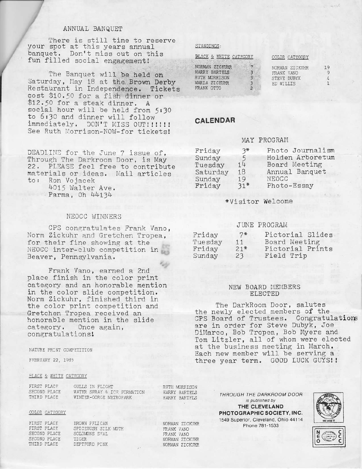## ANNUAL BANQUET

There is still time to reserve your spot at this years annual banquet. Don't niss out on this fun filled social engagement!

The Banquet will be held on Saturday, May 18 at the Brown Derby Restaurant in Independence. Tickets cost 910.50 for a fish dinner or \$12.50 for a steak dinner, A social hour will be held from 5:30 to 6:30 and dinner will follow immediately. DON'T MISS OUT!!!!!! See Ruth Morrison-NOW-for tickets!

DEADLINE for the June 7 issue of, Through The Darkroom Door, is May 22. PLIASE feel free to contribute materials or ideas. Mail articles<br>to: Ron Vojacek Ron Vojacek 4015 Walter Ave. Parma, 0h 44134

# NEOCC WINNERS

CPS conqratulates Frank Vano, Norm Zickuhr and Gretchen Tropea, for their fine showing at the NEOCC inter-club competition in Beaver, PennsyLvania.

Frank Vano, earned a 2nd place finish in the color print cateqory and an honorable mention in the color slide competition. Norm Zickuhr, finished third in the color print competition and Oretchen Tropea received an honorable mention in the slide category. Once again, congratulations!

NATURE PRINT COMPETITION

FEBRUARY 22, 1985

#### BLACK & WHITE CATFGORY

| FIRST PLACF  | <b>GULLS IN FLIGHT</b>      |  |
|--------------|-----------------------------|--|
| SECOND PLACE | WATER SPRAY & ICE FORMATION |  |
| THIRD PLACE  | WINTER-GORGE METROPARK      |  |
|              |                             |  |

#### COLOR CATEGORY

FIRST PLACE BROWN PELICAN<br>FIRST PLACE SPICEBUSH SILE SECOND PLACE SOLOM<br>SECOND PLACE TIGER SECOND PLACE<br>THIRD PLACE

SPICEBUSH SILK MOTH<br>SOLOMONS SFAL DEPTFORD PINK

| STANDINGS: |  |
|------------|--|
|            |  |

|  | BLACK & WHITE CATEGORY |
|--|------------------------|
|  |                        |

| NORMAN ZICKUHR       |    |
|----------------------|----|
| HARRY BARTELS        | ß. |
| <b>RUTH MORRISON</b> | 3  |
| MARIA ZICKUHR        | з  |
| FRANK OTTO           | 2  |

#### COLOR CATEGORY

NORMAN ZICKUHR<br>FRANK VANO STEVE DUBYK ED WILLIS

#### CALENDAR

#### MAY PROGRAM

| Friday   | $3*$  | Photo Journalism |
|----------|-------|------------------|
| Sunday   | 5     | Holden Arboretum |
| Tuesday  | 14    | Board Meeting    |
| Saturday | 18    | Annual Banquet   |
| Sunday   | 19    | NEOCC            |
| Friday   | $31*$ | Photo-Essay      |

#### \*Visitor Welcome

# JUNE PR0GRAI'I

| Friday  | $7*$  | Pictorial Slides |
|---------|-------|------------------|
| Tuesday | 11    | Board Meeting    |
| Friday  | $21*$ | Pictorial Prints |
| Sunday  | 23    | Field Trip       |

#### NEW BOARD MEMBERS ELECTED

The DarkRoom Door, salutes the newly elected members of the CPS Board of Trustees. Congratulation are in order for Steve Dubyk, Joe DiMarco, Bob Tropea, Bob Myers and Tom Litzler, all of whom were elected at the business meeting in March. Each new member will be serving a three vear term, G00D LUCK CUYS! I

> THROUGH THE DARKROOM DOOR is published by THE CLEVELAND PHOTOGFAPHIC SOCIETY, INC. 1549 Superior, Cleveland, Ohio 44114 Phone 781-1533





NORMAN ZICKUHR FRANK VANO FRANK VANO NORMAN ZICKUHR NORMAN ZICKUHR

RUTH MORRISON

HARRY BARTELS HARRY BARTFLS